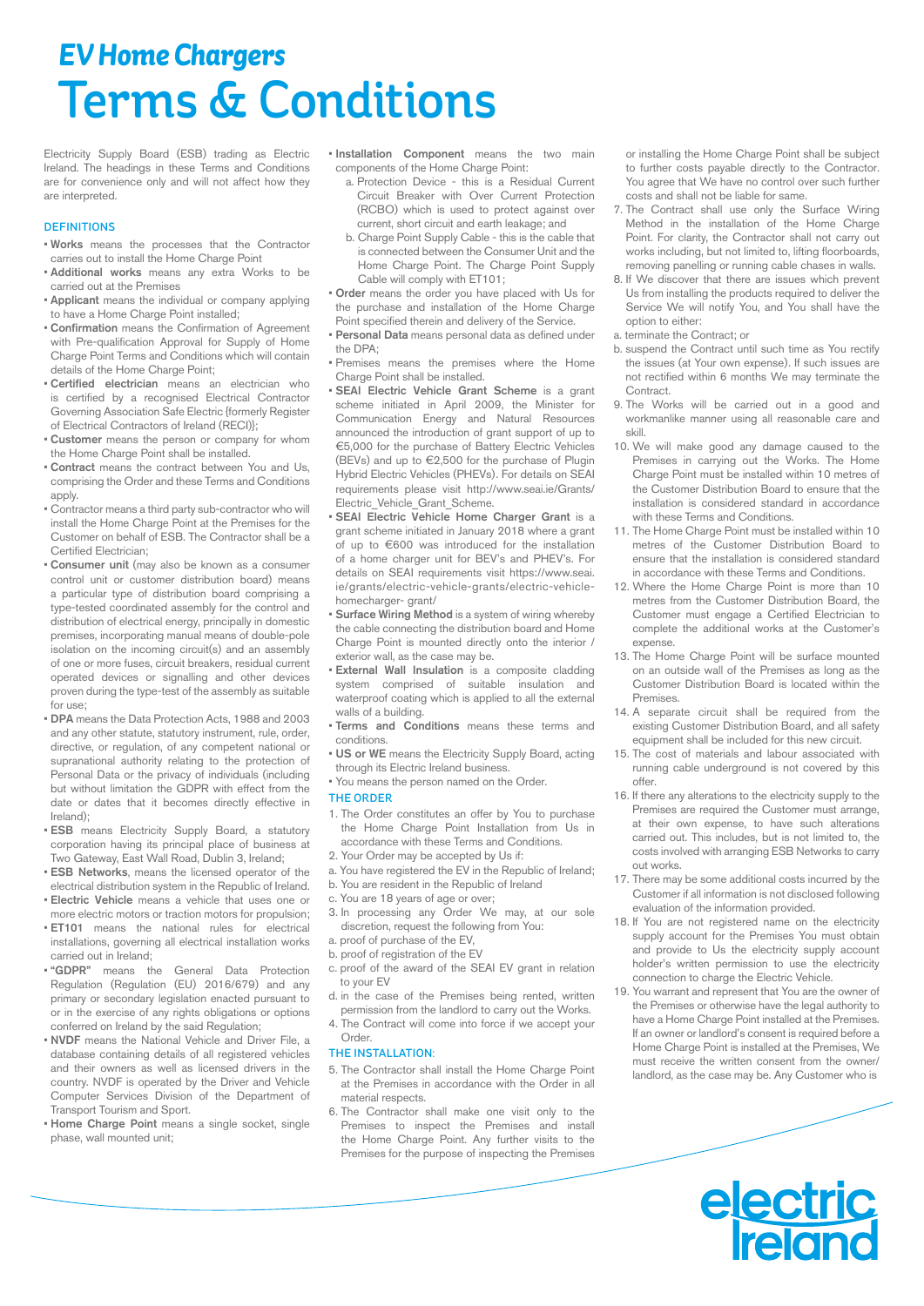# *EV Home Chargers* Terms & Conditions

Electricity Supply Board (ESB) trading as Electric Ireland. The headings in these Terms and Conditions are for convenience only and will not affect how they are interpreted.

## **DEFINITIONS**

- Works means the processes that the Contractor carries out to install the Home Charge Point
- Additional works means any extra Works to be carried out at the Premises
- Applicant means the individual or company applying to have a Home Charge Point installed:
- Confirmation means the Confirmation of Agreement with Pre-qualification Approval for Supply of Home Charge Point Terms and Conditions which will contain details of the Home Charge Point;
- Certified electrician means an electrician who is certified by a recognised Electrical Contractor Governing Association Safe Electric {formerly Register of Electrical Contractors of Ireland (RECI)};
- Customer means the person or company for whom the Home Charge Point shall be installed.
- Contract means the contract between You and Us, comprising the Order and these Terms and Conditions apply.
- Contractor means a third party sub-contractor who will install the Home Charge Point at the Premises for the Customer on behalf of ESB. The Contractor shall be a Certified Electrician;
- Consumer unit (may also be known as a consumer control unit or customer distribution board) means a particular type of distribution board comprising a type-tested coordinated assembly for the control and distribution of electrical energy, principally in domestic premises, incorporating manual means of double-pole isolation on the incoming circuit(s) and an assembly of one or more fuses, circuit breakers, residual current operated devices or signalling and other devices proven during the type-test of the assembly as suitable for use;
- DPA means the Data Protection Acts, 1988 and 2003 and any other statute, statutory instrument, rule, order, directive, or regulation, of any competent national or supranational authority relating to the protection of Personal Data or the privacy of individuals (including but without limitation the GDPR with effect from the date or dates that it becomes directly effective in Ireland);
- ESB means Electricity Supply Board, a statutory corporation having its principal place of business at Two Gateway, East Wall Road, Dublin 3, Ireland;
- ESB Networks, means the licensed operator of the electrical distribution system in the Republic of Ireland.
- Electric Vehicle means a vehicle that uses one or more electric motors or traction motors for propulsion;
- ET101 means the national rules for electrical installations, governing all electrical installation works carried out in Ireland;
- "GDPR" means the General Data Protection Regulation (Regulation (EU) 2016/679) and any primary or secondary legislation enacted pursuant to or in the exercise of any rights obligations or options conferred on Ireland by the said Regulation;
- NVDF means the National Vehicle and Driver File, a database containing details of all registered vehicles and their owners as well as licensed drivers in the country. NVDF is operated by the Driver and Vehicle Computer Services Division of the Department of Transport Tourism and Sport.
- Home Charge Point means a single socket, single phase, wall mounted unit;
- Installation Component means the two main components of the Home Charge Point:
	- a. Protection Device this is a Residual Current Circuit Breaker with Over Current Protection (RCBO) which is used to protect against over current, short circuit and earth leakage; and
	- b. Charge Point Supply Cable this is the cable that is connected between the Consumer Unit and the Home Charge Point. The Charge Point Supply Cable will comply with ET101;
- Order means the order you have placed with Us for the purchase and installation of the Home Charge Point specified therein and delivery of the Service.
- Personal Data means personal data as defined under the DPA;
- Premises means the premises where the Home Charge Point shall be installed.
- SEAI Electric Vehicle Grant Scheme is a grant scheme initiated in April 2009, the Minister for Communication Energy and Natural Resources announced the introduction of grant support of up to €5,000 for the purchase of Battery Electric Vehicles (BEVs) and up to €2,500 for the purchase of Plugin Hybrid Electric Vehicles (PHEVs). For details on SEAI requirements please visit http://www.seai.ie/Grants/ Electric\_Vehicle\_Grant\_Scheme.
- SEAI Electric Vehicle Home Charger Grant is a grant scheme initiated in January 2018 where a grant of up to €600 was introduced for the installation of a home charger unit for BEV's and PHEV's. For details on SEAI requirements visit https://www.seai. ie/grants/electric-vehicle-grants/electric-vehiclehomecharger- grant/
- Surface Wiring Method is a system of wiring whereby the cable connecting the distribution board and Home Charge Point is mounted directly onto the interior / exterior wall, as the case may be.
- External Wall Insulation is a composite cladding system comprised of suitable insulation and waterproof coating which is applied to all the external walls of a building.
- Terms and Conditions means these terms and conditions.
- US or WE means the Electricity Supply Board, acting through its Electric Ireland business.
- You means the person named on the Order.

## THE ORDER

- 1. The Order constitutes an offer by You to purchase the Home Charge Point Installation from Us in accordance with these Terms and Conditions.
- 2. Your Order may be accepted by Us if:
- a. You have registered the EV in the Republic of Ireland;
- b. You are resident in the Republic of Ireland c. You are 18 years of age or over;
- 3. In processing any Order We may, at our sole discretion, request the following from You:
- a. proof of purchase of the EV,
- b. proof of registration of the EV
- c. proof of the award of the SEAI EV grant in relation to your EV
- d. in the case of the Premises being rented, written permission from the landlord to carry out the Works.
- 4. The Contract will come into force if we accept your Order.

## THE INSTALLATION:

- 5. The Contractor shall install the Home Charge Point at the Premises in accordance with the Order in all material respects.
- 6. The Contractor shall make one visit only to the Premises to inspect the Premises and install the Home Charge Point. Any further visits to the Premises for the purpose of inspecting the Premises

or installing the Home Charge Point shall be subject to further costs payable directly to the Contractor. You agree that We have no control over such further costs and shall not be liable for same.

- 7. The Contract shall use only the Surface Wiring Method in the installation of the Home Charge Point. For clarity, the Contractor shall not carry out works including, but not limited to, lifting floorboards, removing panelling or running cable chases in walls.
- 8. If We discover that there are issues which prevent Us from installing the products required to deliver the Service We will notify You, and You shall have the option to either:
- a. terminate the Contract; or
- b. suspend the Contract until such time as You rectify the issues (at Your own expense). If such issues are not rectified within 6 months We may terminate the Contract.
- 9. The Works will be carried out in a good and workmanlike manner using all reasonable care and skill.
- 10. We will make good any damage caused to the Premises in carrying out the Works. The Home Charge Point must be installed within 10 metres of the Customer Distribution Board to ensure that the installation is considered standard in accordance with these Terms and Conditions.
- 11. The Home Charge Point must be installed within 10 metres of the Customer Distribution Board to ensure that the installation is considered standard in accordance with these Terms and Conditions.
- 12. Where the Home Charge Point is more than 10 metres from the Customer Distribution Board, the Customer must engage a Certified Electrician to complete the additional works at the Customer's expense.
- 13. The Home Charge Point will be surface mounted on an outside wall of the Premises as long as the Customer Distribution Board is located within the Premises.
- 14. A separate circuit shall be required from the existing Customer Distribution Board, and all safety equipment shall be included for this new circuit.
- 15. The cost of materials and labour associated with running cable underground is not covered by this offer.
- 16. If there any alterations to the electricity supply to the Premises are required the Customer must arrange, at their own expense, to have such alterations carried out. This includes, but is not limited to, the costs involved with arranging ESB Networks to carry out works.
- 17. There may be some additional costs incurred by the Customer if all information is not disclosed following evaluation of the information provided.
- 18. If You are not registered name on the electricity supply account for the Premises You must obtain and provide to Us the electricity supply account holder's written permission to use the electricity connection to charge the Electric Vehicle.
- 19. You warrant and represent that You are the owner of the Premises or otherwise have the legal authority to have a Home Charge Point installed at the Premises. If an owner or landlord's consent is required before a Home Charge Point is installed at the Premises, We must receive the written consent from the owner/ landlord, as the case may be. Any Customer who is